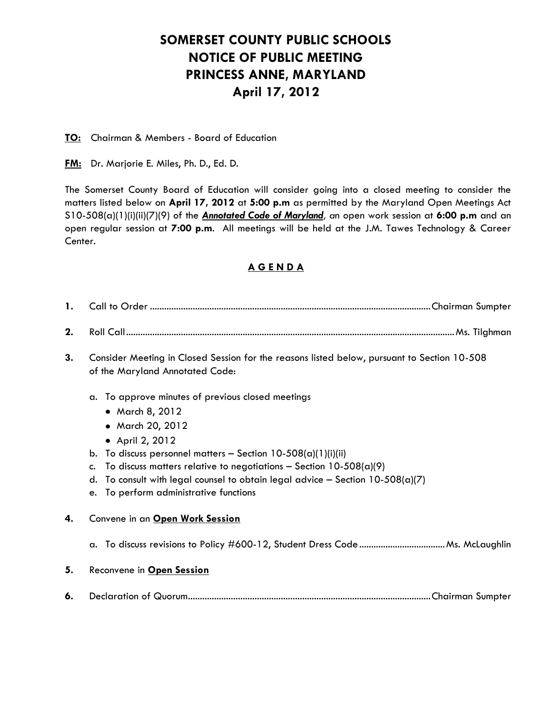# **SOMERSET COUNTY PUBLIC SCHOOLS NOTICE OF PUBLIC MEETING PRINCESS ANNE, MARYLAND April 17, 2012**

#### **TO:** Chairman & Members - Board of Education

**FM:** Dr. Marjorie E. Miles, Ph. D., Ed. D.

The Somerset County Board of Education will consider going into a closed meeting to consider the matters listed below on **April 17, 2012** at **5:00 p.m** as permitted by the Maryland Open Meetings Act S10-508(a)(1)(i)(ii)(7)(9) of the *Annotated Code of Maryland, a*n open work session at **6:00 p.m** and an open regular session at **7:00 p.m**. All meetings will be held at the J.M. Tawes Technology & Career Center.

# **A G E N D A**

- **1.** Call to Order ......................................................................................................................Chairman Sumpter
- **2.** Roll Call..........................................................................................................................................Ms. Tilghman
- **3.** Consider Meeting in Closed Session for the reasons listed below, pursuant to Section 10-508 of the Maryland Annotated Code:
	- a. To approve minutes of previous closed meetings
		- March 8, 2012
		- March 20, 2012
		- April 2, 2012
	- b. To discuss personnel matters  $-$  Section 10-508(a)(1)(i)(ii)
	- c. To discuss matters relative to negotiations  $-$  Section 10-508(a)(9)
	- d. To consult with legal counsel to obtain legal advice  $-$  Section 10-508(a)(7)
	- e. To perform administrative functions

## **4.** Convene in an **Open Work Session**

a. To discuss revisions to Policy #600-12, Student Dress Code....................................Ms. McLaughlin

- **5.** Reconvene in **Open Session**
- **6.** Declaration of Quorum......................................................................................................Chairman Sumpter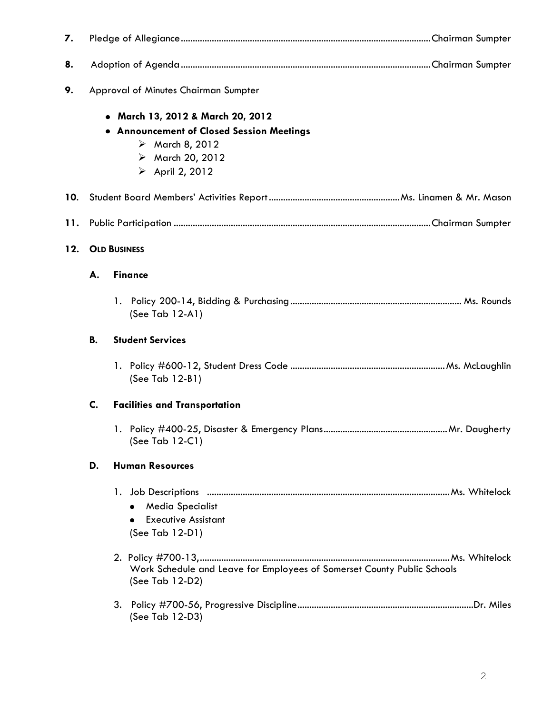| 7.  |                     |                                                                                                                                                         |  |
|-----|---------------------|---------------------------------------------------------------------------------------------------------------------------------------------------------|--|
| 8.  |                     |                                                                                                                                                         |  |
| 9.  |                     | Approval of Minutes Chairman Sumpter                                                                                                                    |  |
|     |                     | • March 13, 2012 & March 20, 2012<br>• Announcement of Closed Session Meetings<br>$\triangleright$ March 8, 2012<br>> March 20, 2012<br>> April 2, 2012 |  |
| 10. |                     |                                                                                                                                                         |  |
| 11. |                     |                                                                                                                                                         |  |
| 12. | <b>OLD BUSINESS</b> |                                                                                                                                                         |  |
|     | А.                  | <b>Finance</b><br>(See Tab $12-A1$ )                                                                                                                    |  |
|     | В.                  | <b>Student Services</b>                                                                                                                                 |  |
|     |                     | (See Tab 12-B1)                                                                                                                                         |  |
|     | C.                  | <b>Facilities and Transportation</b>                                                                                                                    |  |
|     |                     | (See Tab 12-C1)                                                                                                                                         |  |
|     | D.                  | <b>Human Resources</b>                                                                                                                                  |  |
|     |                     | <b>Media Specialist</b><br><b>Executive Assistant</b><br>(See Tab 12-D1)                                                                                |  |
|     |                     | Work Schedule and Leave for Employees of Somerset County Public Schools<br>(See Tab 12-D2)                                                              |  |
|     |                     | 3.<br>(See Tab 12-D3)                                                                                                                                   |  |